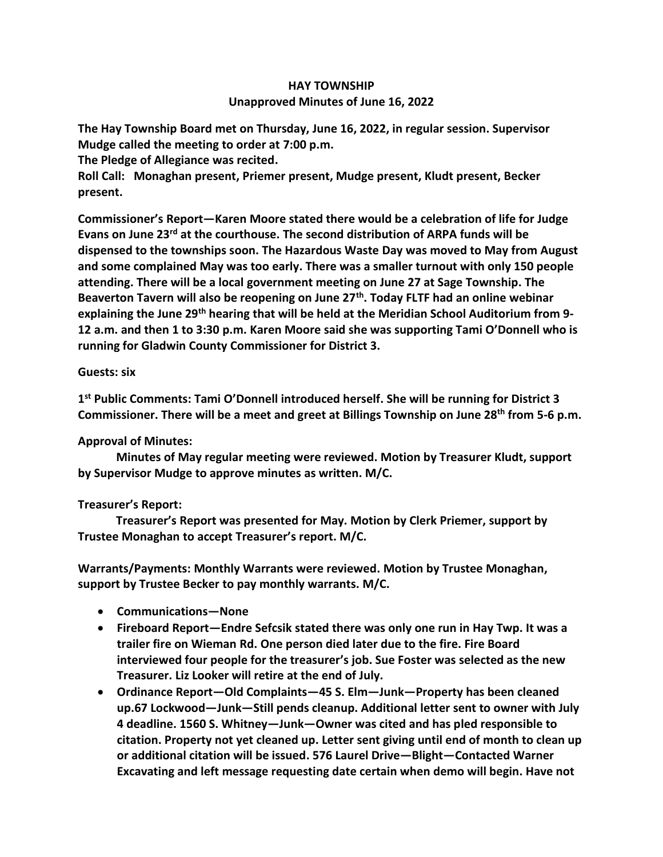## **HAY TOWNSHIP Unapproved Minutes of June 16, 2022**

**The Hay Township Board met on Thursday, June 16, 2022, in regular session. Supervisor Mudge called the meeting to order at 7:00 p.m.** 

**The Pledge of Allegiance was recited.** 

**Roll Call: Monaghan present, Priemer present, Mudge present, Kludt present, Becker present.**

**Commissioner's Report—Karen Moore stated there would be a celebration of life for Judge Evans on June 23rd at the courthouse. The second distribution of ARPA funds will be dispensed to the townships soon. The Hazardous Waste Day was moved to May from August and some complained May was too early. There was a smaller turnout with only 150 people attending. There will be a local government meeting on June 27 at Sage Township. The Beaverton Tavern will also be reopening on June 27th . Today FLTF had an online webinar explaining the June 29th hearing that will be held at the Meridian School Auditorium from 9- 12 a.m. and then 1 to 3:30 p.m. Karen Moore said she was supporting Tami O'Donnell who is running for Gladwin County Commissioner for District 3.**

## **Guests: six**

**1 st Public Comments: Tami O'Donnell introduced herself. She will be running for District 3 Commissioner. There will be a meet and greet at Billings Township on June 28th from 5-6 p.m.**

## **Approval of Minutes:**

 **Minutes of May regular meeting were reviewed. Motion by Treasurer Kludt, support by Supervisor Mudge to approve minutes as written. M/C.**

## **Treasurer's Report:**

 **Treasurer's Report was presented for May. Motion by Clerk Priemer, support by Trustee Monaghan to accept Treasurer's report. M/C.**

**Warrants/Payments: Monthly Warrants were reviewed. Motion by Trustee Monaghan, support by Trustee Becker to pay monthly warrants. M/C.**

- **Communications—None**
- **Fireboard Report—Endre Sefcsik stated there was only one run in Hay Twp. It was a trailer fire on Wieman Rd. One person died later due to the fire. Fire Board interviewed four people for the treasurer's job. Sue Foster was selected as the new Treasurer. Liz Looker will retire at the end of July.**
- **Ordinance Report—Old Complaints—45 S. Elm—Junk—Property has been cleaned up.67 Lockwood—Junk—Still pends cleanup. Additional letter sent to owner with July 4 deadline. 1560 S. Whitney—Junk—Owner was cited and has pled responsible to citation. Property not yet cleaned up. Letter sent giving until end of month to clean up or additional citation will be issued. 576 Laurel Drive—Blight—Contacted Warner Excavating and left message requesting date certain when demo will begin. Have not**